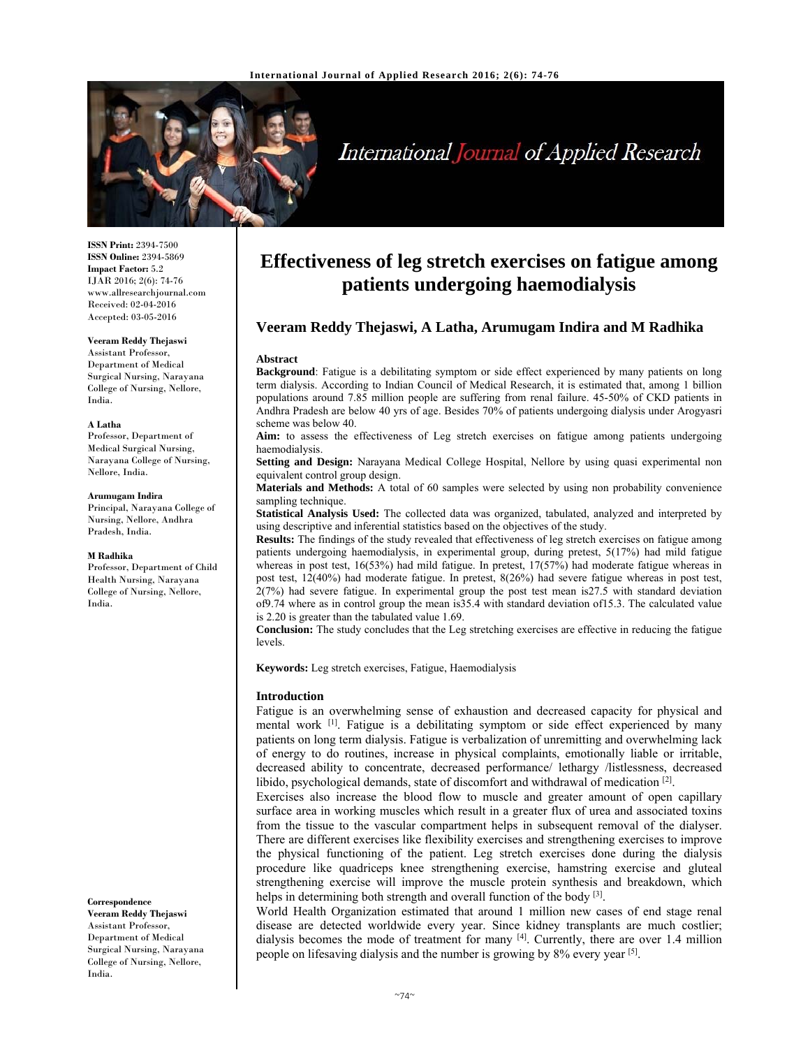

# International Journal of Applied Research

**ISSN Print:** 2394-7500 **ISSN Online:** 2394-5869 **Impact Factor:** 5.2 IJAR 2016; 2(6): 74-76 www.allresearchjournal.com Received: 02-04-2016 Accepted: 03-05-2016

#### **Veeram Reddy Thejaswi**

Assistant Professor, Department of Medical Surgical Nursing, Narayana College of Nursing, Nellore, India.

#### **A Latha**

Professor, Department of Medical Surgical Nursing, Narayana College of Nursing, Nellore, India.

#### **Arumugam Indira**

Principal, Narayana College of Nursing, Nellore, Andhra Pradesh, India.

#### **M Radhika**

Professor, Department of Child Health Nursing, Narayana College of Nursing, Nellore, India.

**Correspondence**

**Veeram Reddy Thejaswi**  Assistant Professor, Department of Medical Surgical Nursing, Narayana College of Nursing, Nellore, India.

# **Effectiveness of leg stretch exercises on fatigue among patients undergoing haemodialysis**

# **Veeram Reddy Thejaswi, A Latha, Arumugam Indira and M Radhika**

#### **Abstract**

**Background**: Fatigue is a debilitating symptom or side effect experienced by many patients on long term dialysis. According to Indian Council of Medical Research, it is estimated that, among 1 billion populations around 7.85 million people are suffering from renal failure. 45-50% of CKD patients in Andhra Pradesh are below 40 yrs of age. Besides 70% of patients undergoing dialysis under Arogyasri scheme was below 40.

**Aim:** to assess the effectiveness of Leg stretch exercises on fatigue among patients undergoing haemodialysis.

**Setting and Design:** Narayana Medical College Hospital, Nellore by using quasi experimental non equivalent control group design.

**Materials and Methods:** A total of 60 samples were selected by using non probability convenience sampling technique.

**Statistical Analysis Used:** The collected data was organized, tabulated, analyzed and interpreted by using descriptive and inferential statistics based on the objectives of the study.

**Results:** The findings of the study revealed that effectiveness of leg stretch exercises on fatigue among patients undergoing haemodialysis, in experimental group, during pretest, 5(17%) had mild fatigue whereas in post test,  $16(53%)$  had mild fatigue. In pretest,  $17(57%)$  had moderate fatigue whereas in post test, 12(40%) had moderate fatigue. In pretest, 8(26%) had severe fatigue whereas in post test, 2(7%) had severe fatigue. In experimental group the post test mean is27.5 with standard deviation of9.74 where as in control group the mean is35.4 with standard deviation of15.3. The calculated value is 2.20 is greater than the tabulated value 1.69.

**Conclusion:** The study concludes that the Leg stretching exercises are effective in reducing the fatigue levels.

**Keywords:** Leg stretch exercises, Fatigue, Haemodialysis

#### **Introduction**

Fatigue is an overwhelming sense of exhaustion and decreased capacity for physical and mental work  $\left[1\right]$ . Fatigue is a debilitating symptom or side effect experienced by many patients on long term dialysis. Fatigue is verbalization of unremitting and overwhelming lack of energy to do routines, increase in physical complaints, emotionally liable or irritable, decreased ability to concentrate, decreased performance/ lethargy /listlessness, decreased libido, psychological demands, state of discomfort and withdrawal of medication  $^{[2]}$ .

Exercises also increase the blood flow to muscle and greater amount of open capillary surface area in working muscles which result in a greater flux of urea and associated toxins from the tissue to the vascular compartment helps in subsequent removal of the dialyser. There are different exercises like flexibility exercises and strengthening exercises to improve the physical functioning of the patient. Leg stretch exercises done during the dialysis procedure like quadriceps knee strengthening exercise, hamstring exercise and gluteal strengthening exercise will improve the muscle protein synthesis and breakdown, which helps in determining both strength and overall function of the body <sup>[3]</sup>.

World Health Organization estimated that around 1 million new cases of end stage renal disease are detected worldwide every year. Since kidney transplants are much costlier; dialysis becomes the mode of treatment for many  $[4]$ . Currently, there are over 1.4 million people on lifesaving dialysis and the number is growing by 8% every year [5].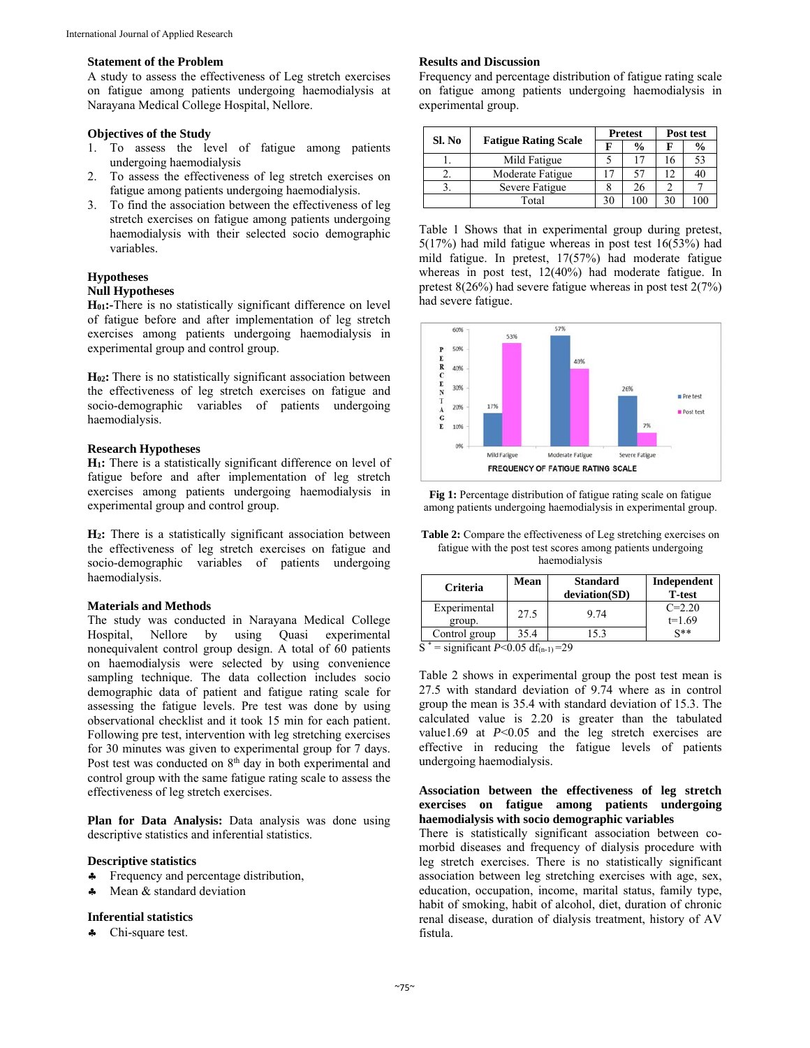#### **Statement of the Problem**

A study to assess the effectiveness of Leg stretch exercises on fatigue among patients undergoing haemodialysis at Narayana Medical College Hospital, Nellore.

#### **Objectives of the Study**

- 1. To assess the level of fatigue among patients undergoing haemodialysis
- 2. To assess the effectiveness of leg stretch exercises on fatigue among patients undergoing haemodialysis.
- 3. To find the association between the effectiveness of leg stretch exercises on fatigue among patients undergoing haemodialysis with their selected socio demographic variables.

### **Hypotheses Null Hypotheses**

**H01:-**There is no statistically significant difference on level of fatigue before and after implementation of leg stretch exercises among patients undergoing haemodialysis in experimental group and control group.

**H02:** There is no statistically significant association between the effectiveness of leg stretch exercises on fatigue and socio-demographic variables of patients undergoing haemodialysis.

#### **Research Hypotheses**

**H1:** There is a statistically significant difference on level of fatigue before and after implementation of leg stretch exercises among patients undergoing haemodialysis in experimental group and control group.

**H2:** There is a statistically significant association between the effectiveness of leg stretch exercises on fatigue and socio-demographic variables of patients undergoing haemodialysis.

#### **Materials and Methods**

The study was conducted in Narayana Medical College Hospital, Nellore by using Quasi experimental nonequivalent control group design. A total of 60 patients on haemodialysis were selected by using convenience sampling technique. The data collection includes socio demographic data of patient and fatigue rating scale for assessing the fatigue levels. Pre test was done by using observational checklist and it took 15 min for each patient. Following pre test, intervention with leg stretching exercises for 30 minutes was given to experimental group for 7 days. Post test was conducted on 8<sup>th</sup> day in both experimental and control group with the same fatigue rating scale to assess the effectiveness of leg stretch exercises.

Plan for Data Analysis: Data analysis was done using descriptive statistics and inferential statistics.

### **Descriptive statistics**

- Frequency and percentage distribution,
- Mean & standard deviation

# **Inferential statistics**

**4** Chi-square test.

#### **Results and Discussion**

Frequency and percentage distribution of fatigue rating scale on fatigue among patients undergoing haemodialysis in experimental group.

| Sl. No | <b>Fatigue Rating Scale</b> | <b>Pretest</b> |               | Post test |               |
|--------|-----------------------------|----------------|---------------|-----------|---------------|
|        |                             |                | $\frac{0}{0}$ | F         | $\frac{0}{0}$ |
|        | Mild Fatigue                |                |               |           | 53            |
|        | Moderate Fatigue            |                | 57            |           | 40            |
|        | Severe Fatigue              |                | 26            |           |               |
|        | Total                       | 30             | 100           | 30        | $\Omega$      |

Table 1 Shows that in experimental group during pretest, 5(17%) had mild fatigue whereas in post test 16(53%) had mild fatigue. In pretest, 17(57%) had moderate fatigue whereas in post test, 12(40%) had moderate fatigue. In pretest 8(26%) had severe fatigue whereas in post test 2(7%) had severe fatigue.



**Fig 1:** Percentage distribution of fatigue rating scale on fatigue among patients undergoing haemodialysis in experimental group.

**Table 2:** Compare the effectiveness of Leg stretching exercises on fatigue with the post test scores among patients undergoing haemodialysis

| <b>Criteria</b>        | Mean | <b>Standard</b><br>deviation(SD) | Independent<br><b>T-test</b> |
|------------------------|------|----------------------------------|------------------------------|
| Experimental<br>group. | 27.5 | 9.74                             | $C = 2.20$<br>$t=1.69$       |
| Control group          | 35.4 | 5.3                              | $x**$                        |

 $S^*$  = significant *P*<0.05 df<sub>(n-1)</sub>=29

Table 2 shows in experimental group the post test mean is 27.5 with standard deviation of 9.74 where as in control group the mean is 35.4 with standard deviation of 15.3. The calculated value is 2.20 is greater than the tabulated value1.69 at *P*<0.05 and the leg stretch exercises are effective in reducing the fatigue levels of patients undergoing haemodialysis.

# **Association between the effectiveness of leg stretch exercises on fatigue among patients undergoing haemodialysis with socio demographic variables**

There is statistically significant association between comorbid diseases and frequency of dialysis procedure with leg stretch exercises. There is no statistically significant association between leg stretching exercises with age, sex, education, occupation, income, marital status, family type, habit of smoking, habit of alcohol, diet, duration of chronic renal disease, duration of dialysis treatment, history of AV fistula.